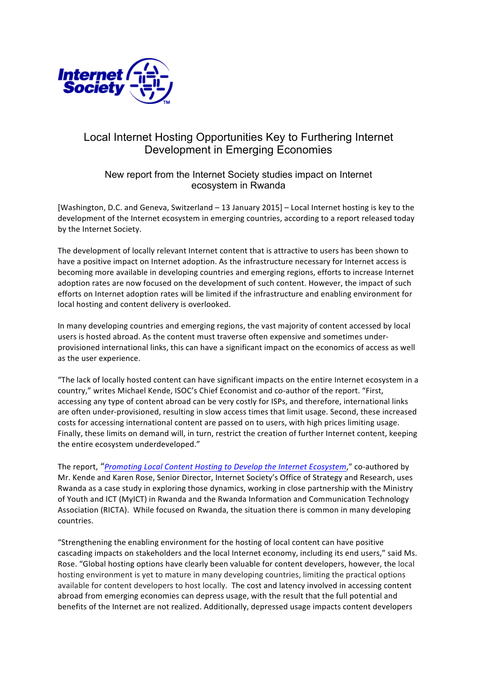

# Local Internet Hosting Opportunities Key to Furthering Internet Development in Emerging Economies

# New report from the Internet Society studies impact on Internet ecosystem in Rwanda

[Washington, D.C. and Geneva, Switzerland – 13 January 2015] – Local Internet hosting is key to the development of the Internet ecosystem in emerging countries, according to a report released today by the Internet Society.

The development of locally relevant Internet content that is attractive to users has been shown to have a positive impact on Internet adoption. As the infrastructure necessary for Internet access is becoming more available in developing countries and emerging regions, efforts to increase Internet adoption rates are now focused on the development of such content. However, the impact of such efforts on Internet adoption rates will be limited if the infrastructure and enabling environment for local hosting and content delivery is overlooked.

In many developing countries and emerging regions, the vast majority of content accessed by local users is hosted abroad. As the content must traverse often expensive and sometimes underprovisioned international links, this can have a significant impact on the economics of access as well as the user experience.

"The lack of locally hosted content can have significant impacts on the entire Internet ecosystem in a country," writes Michael Kende, ISOC's Chief Economist and co-author of the report. "First, accessing any type of content abroad can be very costly for ISPs, and therefore, international links are often under-provisioned, resulting in slow access times that limit usage. Second, these increased costs for accessing international content are passed on to users, with high prices limiting usage. Finally, these limits on demand will, in turn, restrict the creation of further Internet content, keeping the entire ecosystem underdeveloped."

The report, "*Promoting Local Content Hosting to Develop the Internet Ecosystem*," co-authored by Mr. Kende and Karen Rose, Senior Director, Internet Society's Office of Strategy and Research, uses Rwanda as a case study in exploring those dynamics, working in close partnership with the Ministry of Youth and ICT (MyICT) in Rwanda and the Rwanda Information and Communication Technology Association (RICTA). While focused on Rwanda, the situation there is common in many developing countries.

"Strengthening the enabling environment for the hosting of local content can have positive cascading impacts on stakeholders and the local Internet economy, including its end users," said Ms. Rose. "Global hosting options have clearly been valuable for content developers, however, the local hosting environment is yet to mature in many developing countries, limiting the practical options available for content developers to host locally. The cost and latency involved in accessing content abroad from emerging economies can depress usage, with the result that the full potential and benefits of the Internet are not realized. Additionally, depressed usage impacts content developers